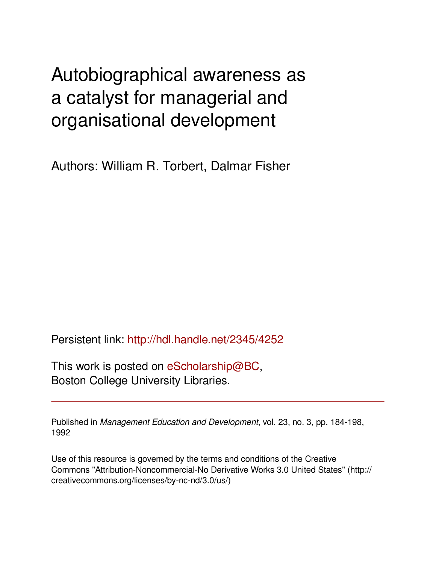# Autobiographical awareness as a catalyst for managerial and organisational development

Authors: William R. Torbert, Dalmar Fisher

Persistent link: <http://hdl.handle.net/2345/4252>

This work is posted on [eScholarship@BC](http://escholarship.bc.edu), Boston College University Libraries.

Published in *Management Education and Development*, vol. 23, no. 3, pp. 184-198, 1992

Use of this resource is governed by the terms and conditions of the Creative Commons "Attribution-Noncommercial-No Derivative Works 3.0 United States" (http:// creativecommons.org/licenses/by-nc-nd/3.0/us/)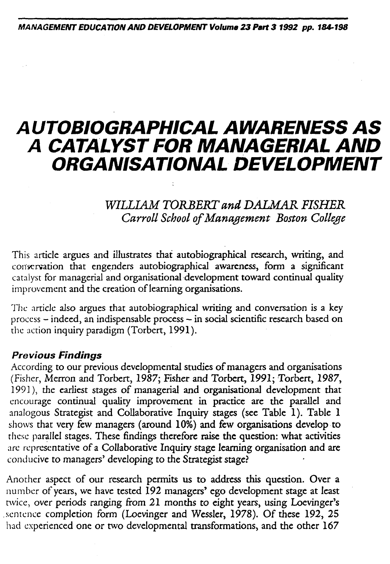# **AUTOBIOGRAPHICAL AWARENESS AS A CATALYST FOR MANAGERIAL AND ORGANISATIONAL DEVELOPMENT**

# *WILLIAM TORBERTand DALMAR FISHER Carroll School ofManagement Boston College*

This article argues and illustrates that autobiographical research, writing, and conservation that engenders autobiographical awareness, form a significant catalyst for managerial and organisational development toward continual quality improvement and the creation of learning organisations.

The article *also* argues that autobiographical writing and conversation is a key process - indeed, an indispensable process - in social scientific research based on the action inquiry paradigm (Torbert, 1991).

#### *Previous Findings*

According to our previous developmental studies of managers and organisations (Fisher, Merron and Torbert, 1987; Fisher and Torbert, 1991; Torbert, 1987, 1991), the earliest stages of managerial and organisational development that encourage continual quality improvement in practice are the parallel and analogous Strategist and Collaborative Inquiry stages (see Table 1). Table 1 shows that very few managers (around 10%) and few organisations develop to these parallel stages. These findings therefore raise the question: what activities are representative of a Collaborative Inquiry stage learning organisation and are conducive to managers' developing to the Strategist stage?

Another aspect of our research permits us to address this question. Over a number of years, we have tested 192 managers' ego development stage at least twice, over periods ranging from 21 months to eight years, using Loevinger's sentence completion form (Loevinger and Wessler, 1978). Of these 192, 25 had experienced one or two developmental transformations, and the other 167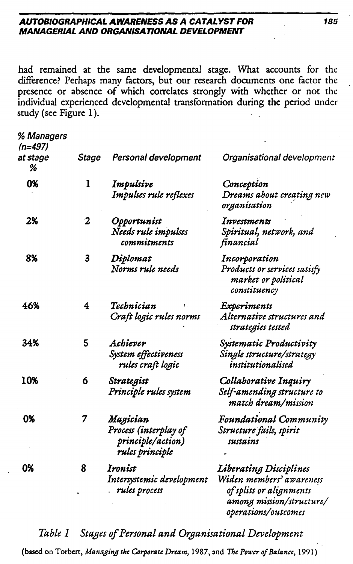#### AUTOBIOGRAPHICAL AWARENESS AS A CATALYST FOR MANAGERIAL AND ORGANISATIONAL DEVELOPMENT

had remained at the same developmental stage. What accounts for the difference? Perhaps many factors, but our research documents one factor the presence or absence of which correlates strongly with whether or not the individual experienced developmental transformation during the period under study (see Figure 1).

| % Managers<br>$(n=497)$ |       |                                                                           |                                                                                                                                  |
|-------------------------|-------|---------------------------------------------------------------------------|----------------------------------------------------------------------------------------------------------------------------------|
| at stage<br>%           | Stage | Personal development                                                      | Organisational development                                                                                                       |
| 0%                      | ı     | Impulsive<br>Impulses rule reflexes                                       | Conception<br>Dreams about creating new<br>organisation                                                                          |
| 2%                      | 2     | Opportunist<br>Needs rule impulses<br>commitments                         | Investments<br>Spiritual, network, and<br>financial                                                                              |
| 8%                      | 3     | Diplomat<br>Norms rule needs                                              | Incorporation<br>Products or services satisfy<br>market or political<br>constituency                                             |
| 46%                     | 4     | Technician<br>Craft logic rules norms                                     | Experiments<br>Alternative structures and<br>strategies tested                                                                   |
| 34%                     | 5     | Achiever<br>System effectiveness<br>rules craft logic                     | Systematic Productivity<br>Single structure/strategy<br>institutionalised                                                        |
| 10%                     | 6     | Strategist<br>Principle rules system                                      | Collaborative Inquiry<br>Self-amending structure to<br>match dream/mission                                                       |
| 0%                      | 7     | Magician<br>Process (interplay of<br>principle/action)<br>rules principle | Foundational Community<br>Structure fails, spirit<br>sustains                                                                    |
| 0%                      | 8     | Ironist<br>Intersystemic development<br>rules process                     | Liberating Disciplines<br>Widen members' awareness<br>of splits or alignments<br>among mission/structure/<br>operations/outcomes |

*Table 1 Stages ofPersonal and Organisational Development*

(based on Torbert, *Managing the Corporate Dream*, 1987, and The Power of Balance, 1991)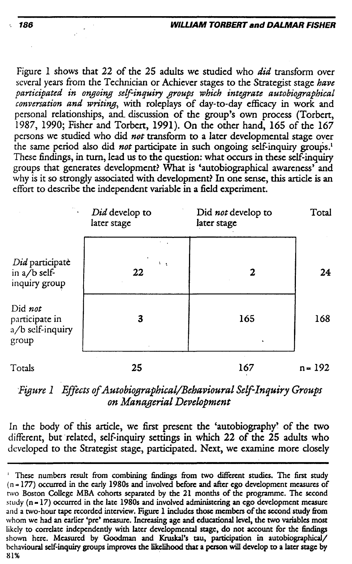Figure 1 shows that 22 of the 25 adults we studied who *did* transform over several years from the Technician or Achiever stages to the Strategist stage *have participated in ongoing self-inquiry groups which integrate autobiographical conversation and writing,* with roleplays of day-to-day efficacy in work and personal relationships, and discussion of the group's own process (Torbert, 1987, 1990; Fisher and Torbert, 1991). On the other hand, 165 of the 167 persons we studied who did *not* transform to a later developmental stage over the same period also did *not* participate in such ongoing self-inquiry groups.<sup>1</sup> These findings, in turn, lead us to the question: what occurs in these self-inquiry groups that generates development? What is 'autobiographical awareness' and why is it so strongly associated with development? In one sense, this article is an effort to describe the independent variable in a field experiment.

| $\mathcal{D}_{\mathbf{q},\mathbf{r}}$                  | Did develop to<br>later stage | Did not develop to<br>later stage | Total  |
|--------------------------------------------------------|-------------------------------|-----------------------------------|--------|
| Did participatè<br>in $a/b$ self-<br>inquiry group     | v.<br>22                      | 2                                 | 24     |
| Did not<br>participate in<br>a/b self-inquiry<br>group | 3                             | 165                               | 168    |
| Totals                                                 | 25                            | 167                               | n= 192 |

*"Figure* 1 *Effects ofAutobiographical/Behavioural Self-Inquiry Groups on Managerial Development*

In the body of this article, we first present the 'autobiography' of the two different, but 'related, self-inquiry settings in which 22 of the 25 adults who developed to the Strategist stage, participated. Next, we examine more closely

<sup>&</sup>lt;sup>1</sup> These numbers result from combining findings from two different studies. The first study  $(n = 177)$  occurred in the early 1980s and involved before and after ego development measures of two Boston College MBA cohorts separated by the 21 months of the programme. The second study  $(n-17)$  occurred in the late 1980s and involved administering an ego development measure and a two-hour tape recorded interview. Figure 1 includes those members of the second study from whom we had an earlier 'pre' measure. Increasing age and educational level, the two variables most likely to correlate indepcndendy with later developmental stage, do not account for the findings shown here. Measured by Goodman and Kruskal's tau, participation in autobiographical/ behavioural self-inquiry groups improves the likelihood that a person will develop to a later stage by  $81\%$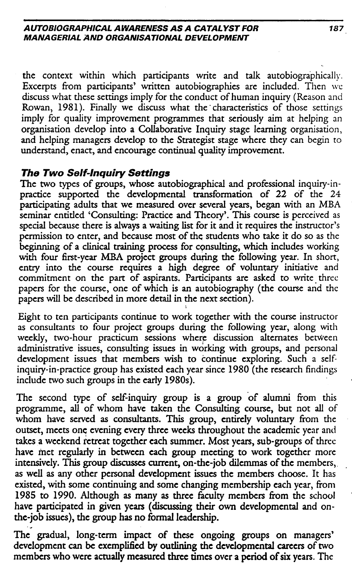#### AUTOBIOGRAPHICAL AWARENESS AS A CATALYST FOR MANAGERIAL AND ORGANISATIONAL DEVELOPMENT

the context within which participants write and talk autobiographically. Excerpts from participants' written autobiographies are included. Then we discuss what these settings imply for the conduct of human inquiry (Reason and Rowan, 1981). Finally we discuss what the' characteristics of those settings imply for quality improvement programmes that seriously aim at helping an organisation develop into a Collaborative Inquiry stage learning organisation, and helping managers develop to the Strategist stage where they can begin to understand, enact, and encourage continual quality improvement.

# The Two Self-Inquiry Settings

The two types of groups, whose autobiographical and professional inquiry-inpractice supported the developmental transformation of 22 of the 24 participating adults that we measured over several years, began with an MBA seminar entitled 'Consulting: Practice and Theory'. This course is perceived as special because there is always a waiting list for it and it requires the instructor's permission to enter, and because most of the students who take it do so as the beginning of a clinical training process for consulting, which includes working with four first-year MBA project groups during the following year. In short, entry into the course requires a high degree of voluntary initiative and commitment on the part of aspirants. Participants are asked to write three papers for the course, one of which is an autobiography (the course and the papers will be described in more detail in the next section).

Eight to ten participants continue to work together with the course instructor as consultants to four project groups during the following year, along with weekly, two-hour practicum sessions where discussion alternates between administrative issues, consulting issues in working with groups, and personal development issues that members wish to continue exploring. Such a selfinquiry-in-practice group has existed each year since 1980 (the research findings include two such groups in the early 1980s). .

The second type of self-inquiry group is a group 'of alumni from this programme, all of whom have taken the Consulting course, but not all of whom have served as consultants. This group, entirely voluntary from the outset, meets one evening every three weeks throughout the academic year and takes a weekend retreat together each summer. Most years, sub-groups of three have met regularly in between each group meeting to work together more intensively. This group discusses current, on-the-job dilemmas of the members, as well as any other personal development issues the members choose. It has existed, with some continuing and some changing membership each year, from 1985 to 1990. Although as many as three faculty members from the school have participated in given years (discussing their own developmental and onthe-job issues), the group has no formal leadership.

The gradual, long-term impact of these ongoing groups on managers' development can be exemplified by outlining the developmental careers of two members who were actually measured three times over a period of six years. The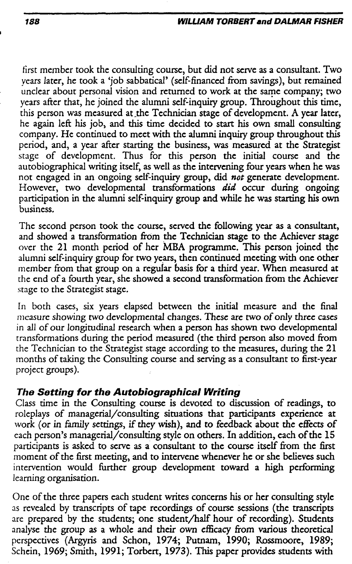first member took the consulting course, but did not serve as a consultant. Two years later, he took a 'job sabbatical' (self-financed from savings), but remained unclear about personal vision and returned to work at the same company; two years after that, he joined the alumni self-inquiry group. Throughout this time, this person was measured at the Technician stage of development. A year later, he again left his job, and this time decided to start his own small consulting company. He continued to meet with the alumni inquiry group throughout this period, and, a year after starting the business, was measured at the Strategist stage of development. Thus for this person the initial course and the autobiographical writing itself, as well as the intervening four years when he was not engaged in an ongoing self-inquiry group, did *not* generate development. However, two developmental transformations *did* occur during ongoing participation in the alumni self-inquiry group and while he was starting his own business.

The second person took the course, served the following year as a consultant, and showed a transformation from the Technician stage to the Achiever stage over the 21 month period of her MBA programme. This person joined the alumni self-inquiry group for two years, then continued meeting with one other member from that group on a regular basis for a third year. When measured at the end of a fourth year, she showed a second transformation from the Achiever stage to the Strategist stage.

In both cases, six years elapsed between the initial measure and the final measure showing two developmental changes. These are two ofonly three cases in all of our longitudinal research when a person has shown two developmental transformations during the period measured (the third person also moved from the Technician to the Strategist stage according to the measures, during the 21 months of taking the Consulting course and serving as a consultant to first-year project groups).

# **The Setting for the Autobiographical Writing**

Class time in the Consulting course is devoted to discussion of readings, to roleplays of managerial/consulting situations that participants experience at work (or in family settings, if they wish), and to feedback about the effects of each person's managerial/consulting style on others. In addition, each of the 15 participants is asked to serve as a consultant to the course itself from the first moment of the first meeting, and to intervene whenever he or she believes such intervention would further group development toward a high performing learning organisation.

One of the three papers each student writes concerns his or her consulting style as revealed by transcripts of tape recordings of course sessions (the transcripts are prepared by the students; one student/half hour of recording). Students analyse the group as a whole and their own efficacy from various theoretical perspectives (Argyris and Schon, 1974; Putnam, 1990; Rossmoore, 1989; Schein, 1969; Smith, 1991; Torbert, 1973). This paper provides students with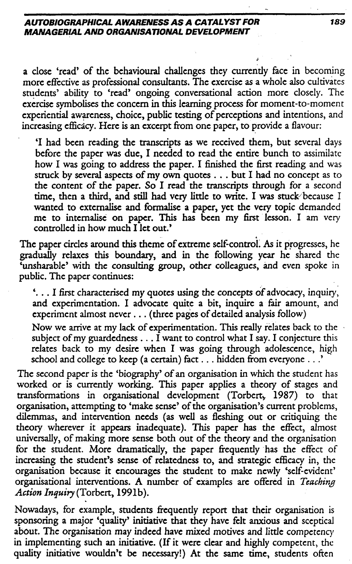#### **AUTOBIOGRAPHICAL AWARENESS AS A CATALYST FOR MANAGERIAL AND ORGANISAnONAL DEVELOPMENT**

a close 'read' of the behavioural challenges they currently face in becoming more effective as professional consultants. The exercise as a whole also cultivates students' ability to 'read' ongoing conversational action more closely. The exercise symbolises the concern in this learning process for moment-to-moment experiential awareness, choice, public testing of perceptions and intentions, and increasing efficacy. Here is an excerpt from one paper, to provide a flavour:

'1 had been reading the transcripts as we received them, but several days before the paper was due, I needed to read the entire bunch to assimilate how 1 was going to address the paper. 1 finished the first reading and was struck by several aspects of my own quotes  $\dots$  but I had no concept as to the content of the paper. So I read the transcripts through for a second time, then a third, and still had very little to write. I was stuck because I wanted to extemalise and formalise a paper, yet the very topic demanded me to internalise on paper. This has been my first lesson. I am very controlled in how much I let out.'

The paper circles around this theme of extreme self-control. As it progresses, he gradually relaxes this boundary, and in the following year he shared the 'unsharable' with the consulting group, other colleagues, and even spoke in public. The paper continues:

 $\ldots$  I first characterised my quotes using the concepts of advocacy, inquiry, and experimentation. I advocate quite a bit, inquire a fair amount, and experiment almost never . . . (three pages of detailed analysis follow)

Now we arrive at my lack of experimentation. This really relates back to the subject of my guardedness  $\dots$  I want to control what I say. I conjecture this relates back to my desire when I was going through adolescence, high school and college to keep (a certain) fact ... hidden from everyone ...' .

The second paper is the 'biography' of an organisation in which the student has worked or is currently working. This paper applies a theory of stages and transformations in organisational development (Torbert, 1987) to that organisation, attempting to 'make sense' of the organisation's current problems, dilemmas, and intervention needs (as well as fleshing out or critiquing the theory. wherever it appears inadequate). This paper has the effect, almost universally, of making more sense both out of the theory and the organisation for the student. More dramatically, the paper frequently' has the effect of increasing the student's sense of relatedness to, and strategic efficacy in, the organisation because it encourages the student to make newly 'self-evident' organisational interventions. A number of examples are offered in *Teaching Action Inquiry* (Torbert, 1991b).

Nowadays, for example, students frequently report that their organisation is sponsoring a major 'quality' initiative that they have felt anxious and sceptical about. The organisation may indeed have mixed motives and little competency in implementing such an initiative. (If it were clear and highly competent, the quality initiative wouldn't be necessary!) At the same time, students often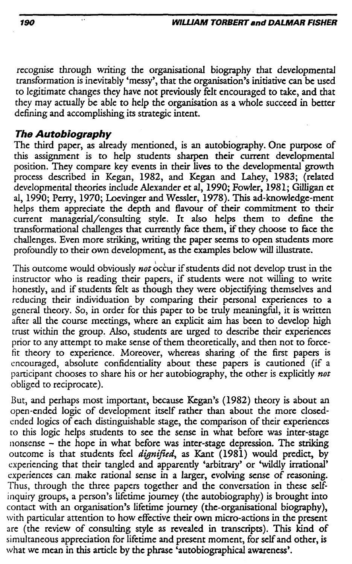recognise through writing the organisational biography that developmental transformation is inevitably 'messy', that the organisation's initiative can be used to legitimate changes they have not previously felt encouraged to take, and that they may actually be able to help the organisation as a whole succeed in better defining and accomplishing its strategic intent.

## *The Autobiography*

The third paper, as already mentioned, is an autobiography. One purpose of this assignment is to help students sharpen their current developmental position. They compare key events in their lives to the developmental growth process described in Kegan, 1982, and Kegan and Lahey, 1983; (related developmerital theories include Alexander et al, 1990; Fowler, 1981; Gilligan et al, 1990; Peny, 1970; Loevinger and Wessler, 1978). This ad-knowledge-ment helps them appreciate the depth and flavour of their commitment to their current managerial/consulting style. It also helps them to define the transformational challenges that currently face them, if they choose to face the challenges. Even more striking, writing the paper seems to open students more profoundly to their own development, as the examples below will illustrate.

This outcome would obviously *not* occur if students did not develop trust in the instructor who is reading their papers, if students were not willing to write honestly, and if students felt as though they were objectifying themselves and reducing their individuation by comparing their personal experiences to a general theory. *So,* in order for this paper to be truly meaningful, it is written after all the course meetings, where an explicit aim has been to develop high trust within the group. Also, students are urged to describe their experiences prior to any attempt to make sense of them theoretically, and then not to forcefit theory to experience. Moreover, whereas sharing of the first papers is encouraged, absolute confidentiality about these papers is cautioned (if a participant chooses to share his or her autobiography, the other is explicitly *not* obliged to reciprocate).

But, and perhaps most important, because Kegan's (1982) theory is about an open-ended logic of development itself rather than about the more closedended logics of each distinguishable stage, the comparison of their experiences ro this logic helps students to see the sense in what before was inter-stage nonsense - the hope in what before was inter-stage depression. The striking outcome is that students feel *dignified,* as Kant (1981) would predict, by experiencing that their tangled and apparently 'arbitrary' or 'wildly irrational' experiences can make rational sense in a larger, evolving sense of reasoning. Thus, through the three papers together and the conversation in these selfinquiry groups, a person's lifetime journey (the autobiography) is brought into contact with an organisation's lifetime journey (the-organisational biography), with particular attention to how effective their own micro-actions in the present are (the review of consulting style as revealed in transcripts). This kind of simultaneous appreciation for lifetime and present moment, for self and other, is what we mean in this article by the phrase 'autobiographical awareness'.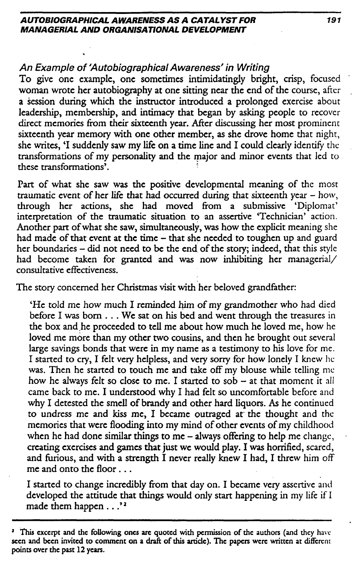#### **AUTOBIOGRAPHICAL AWARENESS AS A CATALYST FOR MANAGERIAL AND ORGANISATIONAL DEVELOPMENT**

# An Example of 'Autobiographical Awareness' in Writing

To give one example, one sometimes intimidatingly bright, crisp, focused woman wrote her autobiography at one sitting near the end of the course, after a session during which the instructor introduced a prolonged exercise about leadership, membership, and intimacy that began by asking people to recover direct memories from their sixteenth year. After discussing her most prominent sixteenth year memory with one other member, as she drove home that night, she writes, '1 suddenly saw my life on a time line and I could clearly identify thc transformations of my personality and the major and minor events that led to these transformations<sup>3</sup>.

Part of what she saw was the positive developmental meaning of the most traumatic event of her life that had occurred during that sixteenth year - how, through her actions, she had moved from a submissive 'Diplomat' interpretation of the traumatic situation to an assertive 'Technician' action. Another part of what she saw, simultaneously, was how the explicit meaning she had made of that event at the time - that she needed to toughen up and guard her boundaries - did not need to be the end of the story; indeed, that this style had become taken for granted and was now inhibiting her managerial/ consultative effectiveness.

The story concerned her Christmas visit with her beloved grandfather:

'He told me how much I reminded him of my grandmother who had died before <sup>I</sup> was born ... We sat on his bed and went through the treasures in the box and he proceeded to tell me about how much he loved me, how he loved me more than my other two cousins, and then he brought out several large savings bonds that were in my name as a testimony to his love for me. I started to cry, I felt very helpless, and very sorry for how lonely I knew he was. Then he started to touch me and take off my blouse while telling me how he always felt so close to me. I started to sob  $-$  at that moment it all came back to me. I understood why I had felt so uncomfortable before and why I detested the smell of brandy and other hard liquors. *As* he continued to undress me and kiss me, I became outraged at· the thought and thc memories that were flooding into my mind of other events of my childhood when he had done similar things to  $me$  – always offering to help me change, creating exercises and games that just we would play. I was horrified, scared, and furious, and with a strength I never really knew I had, I threw him off me and onto the floor ...

I started to change incredibly from that day on. I became very assertive and developed the attitude that things would only start happening in my life if I made them happen . . .'<sup>2</sup>

<sup>&</sup>lt;sup>2</sup> This excerpt and the following ones are quoted with permission of the authors (and they have seen and been invited to comment on a draft of this article). The papers were written at different points over the past 12 years.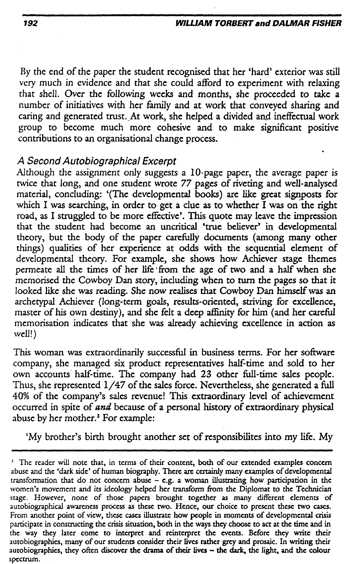By the end of the paper the student recognised that her 'hard' exterior was still very much in evidence and that she could afford to experiment with relaxing that shell. Over the following weeks and months, she proceeded to take a number of initiatives with her family and at work that conveyed sharing and caring and generated trust. At work, she helped a divided and ineffectual work group to become much more cohesive and to make significant positive contributions to an organisational change process.

#### A Second Autobiographical Excerpt

Although the assignment only suggests a 10-page paper, the average paper is twice that long, and one student wrote 77 pages of riveting and well-analysed material, concluding: '(The developmental books) are like great signposts for which I was searching, in order to get a clue as to whether  $\tilde{I}$  was on the right road, as I struggled to be more effective'. This quote may leave the impression that the student had become an uncritical 'true believer' in developmental theory, but the body of the paper carefully documents (among many other things) qualities of her experience at odds with the sequential element of developmental theory. For example, she shows how Achiever stage themes permeate all the times of her life'from the age of two and a half when she memorised the Cowboy Dan story, including when to turn the pages so that it looked like she was reading. She now realises that Cowboy Dan himself was an archetypal Achiever (long-term goals, results-oriented, striving for excellence, master of his own destiny), and she felt a deep affinity for him (and her careful memorisation indicates that she was already achieving excellence in action as well!)

This woman was extraordinarily successful in business terms. For her software company, she managed six product representatives half-time and sold to her own accounts half-time. The company had 23 other full-time sales people. Thus, she represented 1/47 of the sales force. Nevertheless, she generated a full 40% of the company's sales revenue! This extraordinary level of achievement occurred in spite of *and* because of a personal history of extraordinary physical abuse by her mother.<sup>3</sup> For example:

'My brother's birth brought another set of responsibilites into my life. My

<sup>&</sup>lt;sup>3</sup> The reader will note that, in terms of their content, both of our extended examples concern abuse and the 'dark side' of human biography. There are certainly many examples of developmental transformation that do not concern abuse  $-$  e.g. a woman illustrating how participation in the women's movement and its ideology helped her transform from the Diplomat to the Technician stage. However, none of those papers brought together as many different elements of autobiographical awareness process as these two. Hence, our choice to present these two cases. From another point of view, these cases illustrate how people in moments of developmental crisis participate in constructing the crisis situation, both in the ways they choose to act at the time and in the way they later come to interpret and reinterpret the events. Before they write their autobiographies, many of our students consider their lives rather grey and prosaic. In writing their autobiographies, they often discover the drama of their lives - the dark, the light, and the colour spectrum.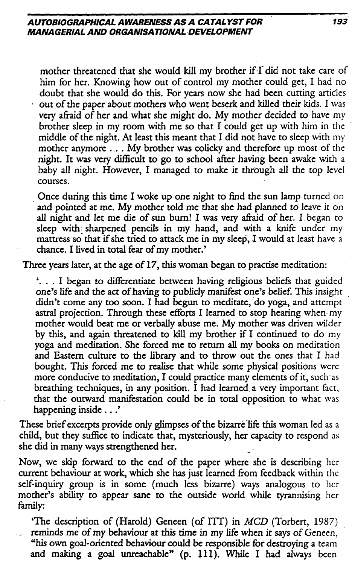mother threatened that she would kill my brother if I did not take care of him for her. Knowing how out of control my mother could get, I had no doubt that she would do this. For years now she had been cutting artidcs out of the paper about mothers who went beserk and killed their kids. I was very afraid of her and what she might do. My mother decided to have my brother sleep in my room with me so that I could get up with him in the middle of the night. At least this meant that I did not have to sleep with my mother anymore ... . My brother was colicky and therefore up most of the night. It was very difficult to go to school after having been awake with a baby all night. However, I managed to make it through all the top level courses.

. Once during this time I woke up one night to find the sun lamp turned on and pointed at me. My mother told me that she had planned to leave it on all night and let me die of sun burn! I was very afraid of her. I began to sleep with sharpened pencils in my hand, and with a knife under my mattress so that if she tried to attack me in my sleep, I would at least have a chance. I lived in total fear of my mother.'

Three years later, at the age of 17, this woman began to practise meditation:

'. . . I began to differentiate between having religious beliefs that guided one's life and the act of having to publicly manifest one's belief. This insight didn't come any too soon. I had begun to meditate, do yoga, and attempt astral projection. Through these efforts I learned to stop hearing when· my mother would beat me or verbally abuse me. My mother was driven wilder by this, and again threatened to kill my brother if I continued to do my yoga and meditation. She forced me to return all my books on meditation and Eastern culture to the library and to throw out the ones that I had bought. This forced me to realise that while some physical positions were more conducive to meditation, I could practice many elements of it, such as breathing techniques, in any position.  $\tilde{I}$  had learned a very important fact, that the outward manifestation could be in total opposition to what was happening inside ...'

These brief excerpts provide only glimpses of the bizarre life this woman led as a child, but they suffice to indicate that, mysteriously, her capacity to respond as she did in many ways strengthened her.

Now, we skip forward to the end of the paper where she is describing her current behaviour at work, which she has just learned from feedback within the self-inquiry group is in some (much less bizarre) ways analogous to her mother's ability to appear sane to the outside world while tyrannising her family:

'The description of (Harold) Geneen (of lIT) in *MCD* (Torbert, 1987) reminds me of my behaviour at this time in my life when it says of Geneen, "his own goal-oriented behaviour could be responsible for destroying a team and making a goal unreachable" (p. Ill). While I had always been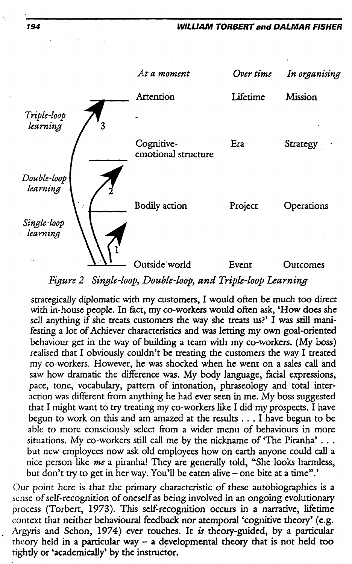

Figure 2 Single-loop, Double-loop, and Triple-loop Learning

strategically diplomatic with my customers, I would often be much too direct with in-house people. In fact, my co-workers would often ask, 'How does she sell anything if she treats customers the way she treats us?' I was still manifesting a lot of Achiever characteristics and was letting my own goal-oriented behaviour get in the way of building a team with my co-workers. (My boss) realised that I obviously couldn't be treating the customers the way I treated my co-workers. However, he was shocked when he went on a sales call and saw how dramatic the difference was. My body language, facial expressions, pace, tone, vocabulary, pattern of intonation, phraseology and total interaction was different from anything he had ever seen in me. My boss suggested that I might want to try treating my co-workers like I did my prospects. I have begun to work on this and am amazed at the results . . . I have begun to be able to more consciously select from a wider menu of behaviours in more situations. My co-workers still call me by the nickname of 'The Piranha' ... but new employees now ask old employees how on earth anyone could call a nice person like *me* a piranha! They are generally told, "She looks harmless, but don't try to get in her way. You'll be eaten alive - one bite at a time".'

Our point here is that the primary characteristic of these autobiographies is a sense of self-recognition of oneself as being involved in an ongoing evolutionary process (Torbert, 1973). This self-recognition occurs in a narrative, lifetime context that neither behavioural feedback nor atemporal 'cognitive theory' (e.g. . Argyris and Schon, 1974) ever touches. It is theory-guided, by a particular theory held in a particular way  $-$  a developmental theory that is not held too tightly or 'academically' by the instructor.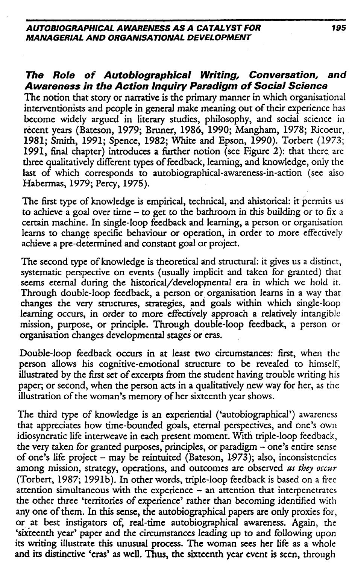#### *The Role* of *Autobiographical Writing, Conversation, and Awareness in the Action Inquiry Paradigm of Social Science*

The notion that story or narrative is the primary manner in which organisational interventionists and people in general make meaning out of their experience has become widely argued in literary studies, philosophy, and social science in recent years (Bateson, 1979; Bruner, 1986, 1990; Mangham, 1978; Ricoeur, 1981; Smith, 1991; Spence, 1982; White and Epson, 1990). Torbert (1973; 1991, final chapter) introduces a further notion (see Figure 2): that there are three qualitatively different types of feedback, learning, and knowledge, only the last of which corresponds to autobiographical-awareness-in-action (see also Habermas, 1979; Percy, 1975).

The first type of knowledge is empirical, technical, and ahistorical: it permits us to achieve a goal over time  $-$  to get to the bathroom in this building or to fix a certain machine. In single-loop feedback and learning, a person or organisation learns to change specific behaviour or operation, in order to more effectively achieve a pre-determined and constant goal or project.

The second type of knowledge is theoretical and structural: it gives us a distinct, systematic perspective on events (usually implicit and taken for granted) that seems eternal during the historical/developmental era in which we hold it. Through double-loop feedback, a person or organisation learns in a way that changes the very structures, strategies, and goals within which single-loop learning occurs, in order to more effectively approach a relatively intangible mission, purpose, or principle. Through double-loop feedback, a person or organisation changes developmental stages or eras.

Double-loop feedback occurs in at least two circumstances: first, when the person allows his cognitive-emotional structure to be revealed to himself, illustrated by the first set of excerpts from the student having trouble writing his paper; or second, when the person acts in a qualitatively new way for her, as the illustration of the woman's memory of her sixteenth year shows.

The third type of knowledge is an experiential ('autobiographical') awareness that appreciates how time-bounded goals, eternal perspectives, and one's own idiosyncratic life interweave in each present moment. With triple-loop feedback, the very taken for granted purposes, principles, or paradigm - one's entire sense of one's life project - may be reintuited (Bateson, 1973); also, inconsistencies among mission, strategy, operations, and outcomes are observed as they occur (Torbert, 1987; 1991b). In other words, triple-loop feedback is based on a free attention simultaneous with the experience - an attention that interpenetrates the other three 'territories of experience' rather than becoming identified with any one of them. In this sense, the autobiographical papers are only proxies for, or at best instigators of, real-time autobiographical awareness. Again, the 'sixteenth year' paper and the circumstances leading up to and following upon its writing illustrate this unusual process. The woman sees her life as a whole and its distinctive 'eras' as well. Thus, the sixteenth year event is seen, through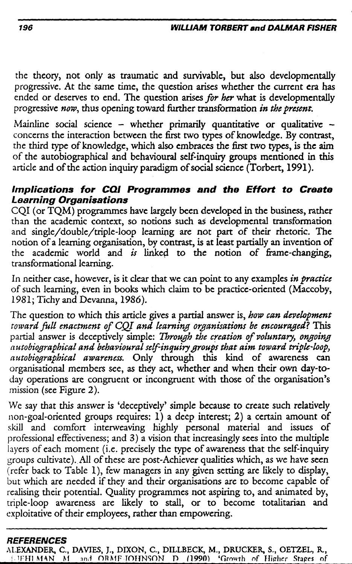the theory, not only as traumatic and survivable, but also developmentally progressive. At the same time, the question arises whether the current era has ended or deserves to end. The question arises *for her* what is developmentally progressive *now,* thus opening toward further transfonnation *in the present.*

Mainline social science - whether primarily quantitative or qualitative concerns the interaction between the first two types of knowledge. By contrast, the third type of knowledge, which also embraces the first two types, is the aim of the autobiographical and behavioural self-inquiry groups mentioned in this article and of the action inquiry paradigm of social science (Torbert, 1991).

## **Implications for cal Programmes and the Effort to Create Learning Organisations**

CQI (or TQM) programmes have largely been developed in the business, rather than the academic context, so notions such as developmental transfonnation and single/double/triple-loop learning are not part of their rhetoric. The notion of a learning organisation, by contrast, is at least partially an invention of the academic world and *is* linked to the notion of frame-changing, transformational learning.

In neither case, however, is it clear that we can point to any examples *in practice* of such learning, even in books which claim to be practice-oriented (Maccoby, 1981; Tichy and Devanna, 1986).

The question to which this article gives a panial answer is, *how can development toward* full enactment of CQI and learning organisations be encouraged? This partial answer is deceptively simple: *Through the creation* of *voluntary, ongoing autobiographical and behaviouralself-inquirygroups that aim toward triple-Joop, autobiographical awareness.* Only through this kind of awareness can organisational members see, as they act, whether and when their own day-today operations are congruent or incongruent with those of the organisation's mission (see Figure 2).

We say that this answer is 'deceptively' simple because to create such relatively non-goal-oriented groups requires: 1) a deep interest; 2) a certain amount of skill and comfort interweaving highly personal material and issues of professional effectiveness; and 3) a vision that increasingly sees into the multiple layers of each moment (i.e. precisely the type of awareness that the self-inquiry groups cultivate). All of these are post-Achiever qualities which, as we have seen (refer back to Table 1), few managers in any given setting are likely to display, but which are needed if they and their organisations are to become capable of realising their potential. Quality programmes not aspiring to, and animated by, triple-loop awareness are likely to stall, or to become totalitarian and exploitative of their employees, rather than empowering.

#### **REFERENCES**

ALEXANDER, C., DAVIES, J., DIXON, C., DILLBECK, M., DRUCKER, S., OETZEL, R., [.JFHI MAN At : and ORMF-TOHNSON D (1990) 'Growth of Higher Stapes of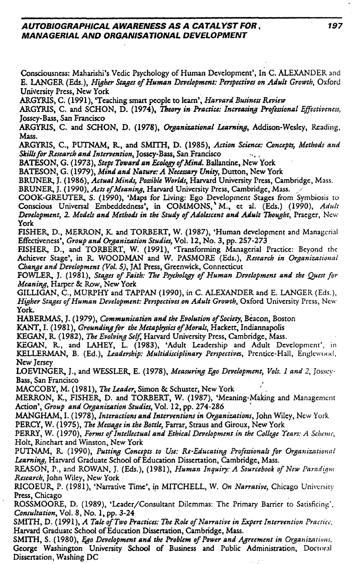#### **AUTOBIOGRAPHICAL AWARENESS AS A CATALYST FOR.** MANAGERIAL AND ORGANISATIONAL DEVELOPMENT

Consciousness: Maharishi's Vedic Psychology of Human Development" In C. ALEXANDER and E. LANGER (Eds.), *Higher Stll-ges ofHumll-n DePelopment: Pmpecti'Pes on Adult Growth,* Oxford University Press, New York .

ARGYRIS, C. (1991), 'Teaching smart people to learn', *Harvard Business Review* 

ARGYRIS, C. and SCHON, D. (1974), *Theory in Practice: Increasing Professional Effectiveness,* ]ossey-Bass, San Francisco

ARGYRlS, C. and SCHON, D. (1978), *Organiutional Learning,* Addison-Wesley, Reading, Mass.

ARGYRIS, C., PUTNAM, R., and SMITH, D. (1985), *Action Science: Concepts, Methods and Skills for Research and Intervention*, Jossey-Bass, San Francisco

BATESON, G. (1973), *Steps Toward an Ecology of Mind.* Ballantine, New York

BATESON, G. (1979), *Mind and Nature: A Necessary Unity*, Dutton, New York

BRUNER, J. (1986), *Actual Minds, Possible Worlds,* Harvard University Press, Cambridge, Mass.

BRUNER, J. (1990), *Acts of Meaning*, Harvard University Press, Cambridge, Mass.

COOK-GREUTER, S. (1990), 'Maps for Living: Ego Development Stages from Symbiosis to Conscious Universal Embeddedness', in COMMONS, M., et al. (Eds.) (1990), Adult *DePelopment,* 2. *Models and Methods in the Study ofAdolescent and Adult Thought,* Praeger, New York

FISHER, D., MERRON, K. and TORBERT, W. (1987), 'Human development and Managerial Effectivcness', *Group and Organization Studies,* Vol. 12, No.3, pp. 257·273

F1SHER, D., and TORBERT, W. (1991), 'Transforming Managerial Practice: Beyond the Achiever Stage', in R. WOODMAN and W. PASMORE (Eds.), *Research in Organizational Change and Development (Vol.* 5), JAI Press, Greenwick, Connecticut

FOWLER, J. (1981), *Stages of Faith: The Psycholom of Human Developmmt and the Quest for Meaning,* Harper & Row, New York

GILLIGAN, C., MURPHY and TAPPAN (1990), in C. ALEXANDER and E. LANGER (Eds.), *Higher Stages of Human Development: Perspectives on Adult Growth, Oxford University Press, New York.* 

HABERMAS, J. (1979), *Communication and the Evolution of Society*, Beacon, Boston

KANT, I. (1981), *Grounding for the Metaphysics of Morals*, Hackett, Indiannapolis

KEGAN, R. (1982), *The Evolving Self,* Harvard University Press, Cambridge, Mass.

KEGAN, R., and lAHEY, L. (1983), 'Adult Leadership and Adult Development" in KELLERMAN, B. (Ed.), *Leadership: Multidisciplinary Perspectives,* Prentice-Hall, Englewood. New Jersey

LOEVINGER, J., and WESSLER, E. (1978») *Measuring 'FDo Development, Vols.* 1 *and* 2, Jossey-Bass, San Francisco

MACCOBY, M. (1981), *The Leader,* Simon & Schuster, New York .

MERRON, K.) FISHER, D. and TORBERT, W. (1987), 'Meaning-Making and Management Action\ *Group and Organization Studies,* Vol. 12, pp. 274-286 '

MANGHAM) I. (1978), *Interactions and Interventions in Organizations,* John Wiley, New York

PERCY, W. (1975), *The Message in the Bottle,* Farrar, Straus and Giroux, New York

PERRY, W. (1970), *Forms ofIntellectual and Ethical Development in the College Years: A Schcmt,* Holt, Rinehart and Winston, New York

PUTNAM, R. (1990), *Putting Concepts to Use: Re-Educating Professionals for Organizational* Learning, Harvard Graduate School of Education Dissertation, Cambridge, Mass.

REASON, P., and ROWAN, J. (Eds.), (1981), *Human Inquiry: A Sourcebook of New Paradigm Research,* John Wiley, New York

RICOEUR, P. (1981), 'Narrative Time', in MITCHELL, W. On Narrative, Chicago University Press, Chicago

ROSSMOORE, D. (1989), 'Leader/Consultant Dilemmas: The Primary Barrier to Satisficing'. *Consultation,* Vol. 8, No. I, pp. 3-24

SMITH, D. (1991), *A Tale ofTwo Practices: The Role ofNarrative in Expert Intervention Praetiu,* Harvard Graduate School of Education Dissertation, Cambridge, Mass.

SMITH, S. (1980), *Ego Development and the Problem of Power and Agreement in Organizations*, George Washington University School of Business and Public Administration, Doctoral Disscrtation, Washing DC